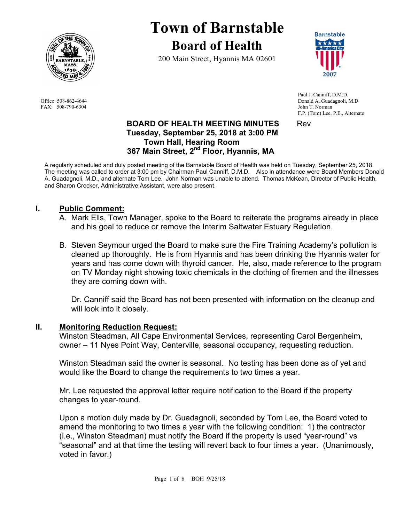

FAX: 508-790-6304 John T. Norman

# **Town of Barnstable Board of Health**

200 Main Street, Hyannis MA 02601



 Paul J. Canniff, D.M.D. Office: 508-862-4644 Donald A. Guadagnoli, M.D F.P. (Tom) Lee, P.E., Alternate

# **BOARD OF HEALTH MEETING MINUTES** Rev  **Tuesday, September 25, 2018 at 3:00 PM Town Hall, Hearing Room 367 Main Street, 2nd Floor, Hyannis, MA**

A regularly scheduled and duly posted meeting of the Barnstable Board of Health was held on Tuesday, September 25, 2018. The meeting was called to order at 3:00 pm by Chairman Paul Canniff, D.M.D. Also in attendance were Board Members Donald A. Guadagnoli, M.D., and alternate Tom Lee. John Norman was unable to attend. Thomas McKean, Director of Public Health, and Sharon Crocker, Administrative Assistant, were also present.

# **I. Public Comment:**

- A. Mark Ells, Town Manager, spoke to the Board to reiterate the programs already in place and his goal to reduce or remove the Interim Saltwater Estuary Regulation.
- B. Steven Seymour urged the Board to make sure the Fire Training Academy's pollution is cleaned up thoroughly. He is from Hyannis and has been drinking the Hyannis water for years and has come down with thyroid cancer. He, also, made reference to the program on TV Monday night showing toxic chemicals in the clothing of firemen and the illnesses they are coming down with.

Dr. Canniff said the Board has not been presented with information on the cleanup and will look into it closely.

# **II. Monitoring Reduction Request:**

Winston Steadman, All Cape Environmental Services, representing Carol Bergenheim, owner – 11 Nyes Point Way, Centerville, seasonal occupancy, requesting reduction.

Winston Steadman said the owner is seasonal. No testing has been done as of yet and would like the Board to change the requirements to two times a year.

Mr. Lee requested the approval letter require notification to the Board if the property changes to year-round.

Upon a motion duly made by Dr. Guadagnoli, seconded by Tom Lee, the Board voted to amend the monitoring to two times a year with the following condition: 1) the contractor (i.e., Winston Steadman) must notify the Board if the property is used "year-round" vs "seasonal" and at that time the testing will revert back to four times a year. (Unanimously, voted in favor.)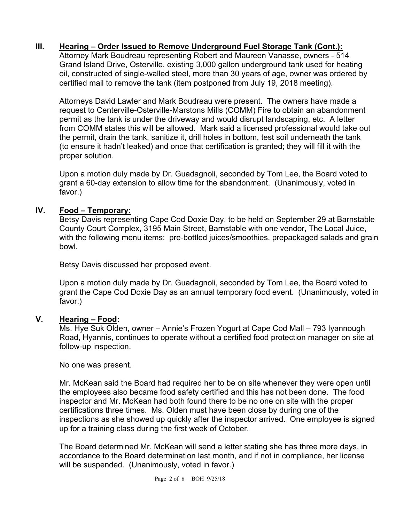# **III. Hearing – Order Issued to Remove Underground Fuel Storage Tank (Cont.):**

Attorney Mark Boudreau representing Robert and Maureen Vanasse, owners - 514 Grand Island Drive, Osterville, existing 3,000 gallon underground tank used for heating oil, constructed of single-walled steel, more than 30 years of age, owner was ordered by certified mail to remove the tank (item postponed from July 19, 2018 meeting).

Attorneys David Lawler and Mark Boudreau were present. The owners have made a request to Centerville-Osterville-Marstons Mills (COMM) Fire to obtain an abandonment permit as the tank is under the driveway and would disrupt landscaping, etc. A letter from COMM states this will be allowed. Mark said a licensed professional would take out the permit, drain the tank, sanitize it, drill holes in bottom, test soil underneath the tank (to ensure it hadn't leaked) and once that certification is granted; they will fill it with the proper solution.

Upon a motion duly made by Dr. Guadagnoli, seconded by Tom Lee, the Board voted to grant a 60-day extension to allow time for the abandonment. (Unanimously, voted in favor.)

# **IV. Food – Temporary:**

Betsy Davis representing Cape Cod Doxie Day, to be held on September 29 at Barnstable County Court Complex, 3195 Main Street, Barnstable with one vendor, The Local Juice, with the following menu items: pre-bottled juices/smoothies, prepackaged salads and grain bowl.

Betsy Davis discussed her proposed event.

Upon a motion duly made by Dr. Guadagnoli, seconded by Tom Lee, the Board voted to grant the Cape Cod Doxie Day as an annual temporary food event. (Unanimously, voted in favor.)

## **V. Hearing – Food:**

Ms. Hye Suk Olden, owner – Annie's Frozen Yogurt at Cape Cod Mall – 793 Iyannough Road, Hyannis, continues to operate without a certified food protection manager on site at follow-up inspection.

No one was present.

Mr. McKean said the Board had required her to be on site whenever they were open until the employees also became food safety certified and this has not been done. The food inspector and Mr. McKean had both found there to be no one on site with the proper certifications three times. Ms. Olden must have been close by during one of the inspections as she showed up quickly after the inspector arrived. One employee is signed up for a training class during the first week of October.

The Board determined Mr. McKean will send a letter stating she has three more days, in accordance to the Board determination last month, and if not in compliance, her license will be suspended. (Unanimously, voted in favor.)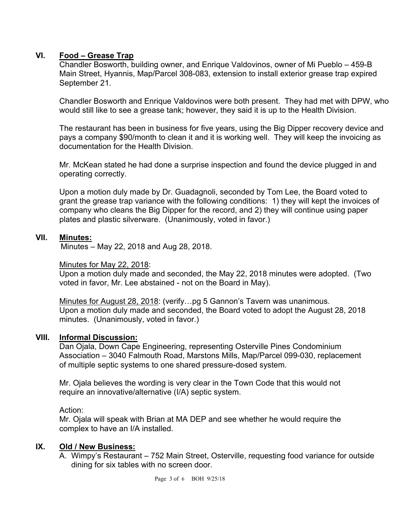# **VI. Food – Grease Trap**

Chandler Bosworth, building owner, and Enrique Valdovinos, owner of Mi Pueblo – 459-B Main Street, Hyannis, Map/Parcel 308-083, extension to install exterior grease trap expired September 21.

Chandler Bosworth and Enrique Valdovinos were both present. They had met with DPW, who would still like to see a grease tank; however, they said it is up to the Health Division.

The restaurant has been in business for five years, using the Big Dipper recovery device and pays a company \$90/month to clean it and it is working well. They will keep the invoicing as documentation for the Health Division.

Mr. McKean stated he had done a surprise inspection and found the device plugged in and operating correctly.

Upon a motion duly made by Dr. Guadagnoli, seconded by Tom Lee, the Board voted to grant the grease trap variance with the following conditions: 1) they will kept the invoices of company who cleans the Big Dipper for the record, and 2) they will continue using paper plates and plastic silverware. (Unanimously, voted in favor.)

# **VII. Minutes:**

Minutes – May 22, 2018 and Aug 28, 2018.

## Minutes for May 22, 2018:

Upon a motion duly made and seconded, the May 22, 2018 minutes were adopted. (Two voted in favor, Mr. Lee abstained - not on the Board in May).

Minutes for August 28, 2018: (verify…pg 5 Gannon's Tavern was unanimous. Upon a motion duly made and seconded, the Board voted to adopt the August 28, 2018 minutes. (Unanimously, voted in favor.)

# **VIII. Informal Discussion:**

Dan Ojala, Down Cape Engineering, representing Osterville Pines Condominium Association – 3040 Falmouth Road, Marstons Mills, Map/Parcel 099-030, replacement of multiple septic systems to one shared pressure-dosed system.

Mr. Ojala believes the wording is very clear in the Town Code that this would not require an innovative/alternative (I/A) septic system.

Action:

Mr. Ojala will speak with Brian at MA DEP and see whether he would require the complex to have an I/A installed.

## **IX. Old / New Business:**

A. Wimpy's Restaurant – 752 Main Street, Osterville, requesting food variance for outside dining for six tables with no screen door.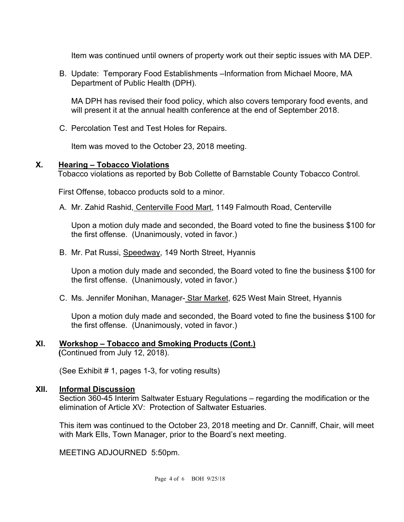Item was continued until owners of property work out their septic issues with MA DEP.

B. Update: Temporary Food Establishments –Information from Michael Moore, MA Department of Public Health (DPH).

MA DPH has revised their food policy, which also covers temporary food events, and will present it at the annual health conference at the end of September 2018.

C. Percolation Test and Test Holes for Repairs.

Item was moved to the October 23, 2018 meeting.

## **X. Hearing – Tobacco Violations**

Tobacco violations as reported by Bob Collette of Barnstable County Tobacco Control.

First Offense, tobacco products sold to a minor.

A. Mr. Zahid Rashid, Centerville Food Mart, 1149 Falmouth Road, Centerville

Upon a motion duly made and seconded, the Board voted to fine the business \$100 for the first offense. (Unanimously, voted in favor.)

B. Mr. Pat Russi, Speedway, 149 North Street, Hyannis

Upon a motion duly made and seconded, the Board voted to fine the business \$100 for the first offense. (Unanimously, voted in favor.)

C. Ms. Jennifer Monihan, Manager- Star Market, 625 West Main Street, Hyannis

Upon a motion duly made and seconded, the Board voted to fine the business \$100 for the first offense. (Unanimously, voted in favor.)

#### **XI. Workshop – Tobacco and Smoking Products (Cont.) (**Continued from July 12, 2018).

(See Exhibit # 1, pages 1-3, for voting results)

## **XII. Informal Discussion**

Section 360-45 Interim Saltwater Estuary Regulations – regarding the modification or the elimination of Article XV: Protection of Saltwater Estuaries.

This item was continued to the October 23, 2018 meeting and Dr. Canniff, Chair, will meet with Mark Ells, Town Manager, prior to the Board's next meeting.

MEETING ADJOURNED 5:50pm.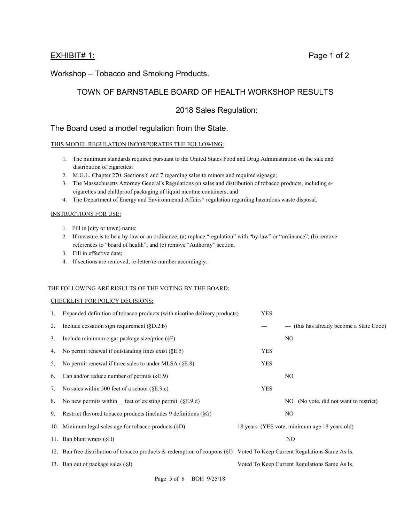#### EXHIBIT# 1: Page 1 of 2

Workshop – Tobacco and Smoking Products.

# TOWN OF BARNSTABLE BOARD OF HEALTH WORKSHOP RESULTS

## 2018 Sales Regulation:

#### The Board used a model regulation from the State.

#### THIS MODEL REGULATION INCORPORATES THE FOLLOWING:

- 1. The minimum standards required pursuant to the United States Food and Drug Administration on the sale and distribution of cigarettes;
- 2. M.G.L. Chapter 270, Sections 6 and 7 regarding sales to minors and required signage;
- 3. The Massachusetts Attorney General's Regulations on sales and distribution of tobacco products, including ecigarettes and childproof packaging of liquid nicotine containers; and
- 4. The Department of Energy and Environmental Affairs\* regulation regarding hazardous waste disposal.

#### INSTRUCTIONS FOR USE:

- 1. Fill in [city or town) name;
- 2. If measure is to be a by-law or an ordinance, (a) replace "regulation" with "by-law" or "ordinance"; (b) remove references to "board of health"; and (c) remove "Authority" section.
- 3. Fill in effective date;
- 4. If sections are removed, re-letter/re-number accordingly.

#### THE FOLLOWING ARE RESULTS OF THE VOTING BY THE BOARD:

#### CHECKLIST FOR POLICY DECISIONS:

| 1. | Expanded definition of tobacco products (with nicotine delivery products)                                                | YES        |                                               |
|----|--------------------------------------------------------------------------------------------------------------------------|------------|-----------------------------------------------|
| 2. | Include cessation sign requirement $(\S D.2.b)$                                                                          | ---        | --- (this has already become a State Code)    |
| 3. | Include minimum cigar package size/price $(\S F)$                                                                        |            | N <sub>O</sub>                                |
| 4. | No permit renewal if outstanding fines exist $(\S E.5)$                                                                  | <b>YES</b> |                                               |
| 5. | No permit renewal if three sales to under MLSA $(\S E. 8)$                                                               | <b>YES</b> |                                               |
| 6. | Cap and/or reduce number of permits $(\$E.9)$                                                                            |            | N <sub>O</sub>                                |
| 7. | No sales within 500 feet of a school $(\$E.9.c)$                                                                         | <b>YES</b> |                                               |
| 8. | No new permits within feet of existing permit $(\S E. 9. d)$                                                             |            | (No vote, did not want to restrict)<br>NO.    |
| 9. | Restrict flavored tobacco products (includes 9 definitions (§G)                                                          |            | NO.                                           |
|    | 10. Minimum legal sales age for tobacco products $(\S D)$                                                                |            | 18 years (YES vote, minimum age 18 years old) |
|    | 11. Ban blunt wraps $(\S H)$                                                                                             |            | NO.                                           |
|    | 12. Ban free distribution of tobacco products & redemption of coupons (§I) Voted To Keep Current Regulations Same As Is. |            |                                               |
|    | 13. Ban out of package sales $(\S J)$                                                                                    |            | Voted To Keep Current Regulations Same As Is. |
|    |                                                                                                                          |            |                                               |

Page 5 of 6 BOH 9/25/18